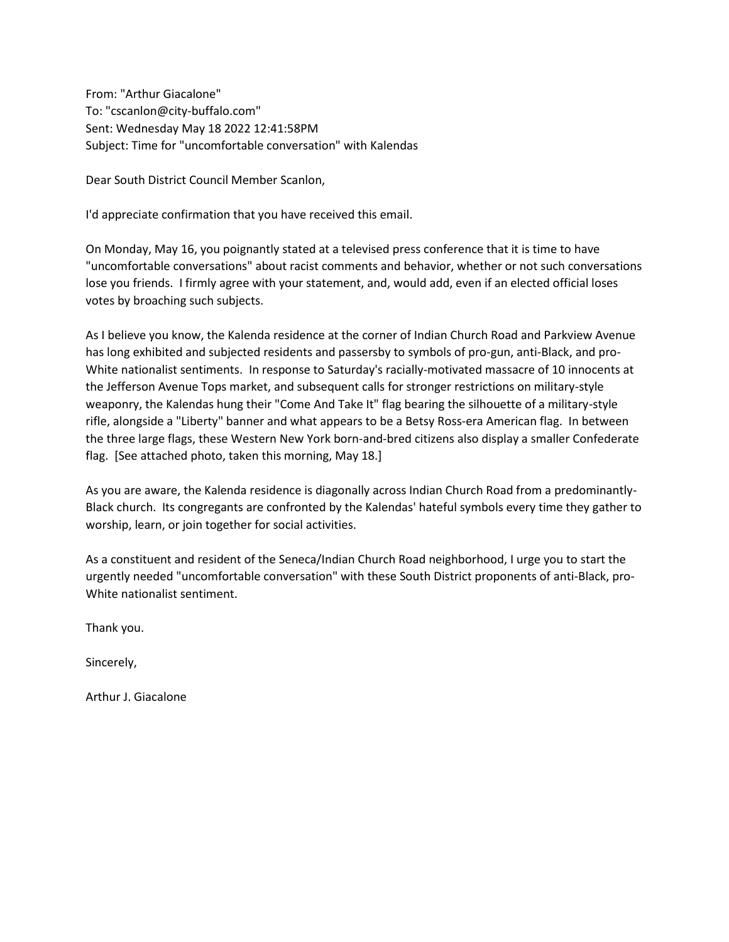From: "Arthur Giacalone" To: "cscanlon@city-buffalo.com" Sent: Wednesday May 18 2022 12:41:58PM Subject: Time for "uncomfortable conversation" with Kalendas

Dear South District Council Member Scanlon,

I'd appreciate confirmation that you have received this email.

On Monday, May 16, you poignantly stated at a televised press conference that it is time to have "uncomfortable conversations" about racist comments and behavior, whether or not such conversations lose you friends. I firmly agree with your statement, and, would add, even if an elected official loses votes by broaching such subjects.

As I believe you know, the Kalenda residence at the corner of Indian Church Road and Parkview Avenue has long exhibited and subjected residents and passersby to symbols of pro-gun, anti-Black, and pro-White nationalist sentiments. In response to Saturday's racially-motivated massacre of 10 innocents at the Jefferson Avenue Tops market, and subsequent calls for stronger restrictions on military-style weaponry, the Kalendas hung their "Come And Take It" flag bearing the silhouette of a military-style rifle, alongside a "Liberty" banner and what appears to be a Betsy Ross-era American flag. In between the three large flags, these Western New York born-and-bred citizens also display a smaller Confederate flag. [See attached photo, taken this morning, May 18.]

As you are aware, the Kalenda residence is diagonally across Indian Church Road from a predominantly-Black church. Its congregants are confronted by the Kalendas' hateful symbols every time they gather to worship, learn, or join together for social activities.

As a constituent and resident of the Seneca/Indian Church Road neighborhood, I urge you to start the urgently needed "uncomfortable conversation" with these South District proponents of anti-Black, pro-White nationalist sentiment.

Thank you.

Sincerely,

Arthur J. Giacalone